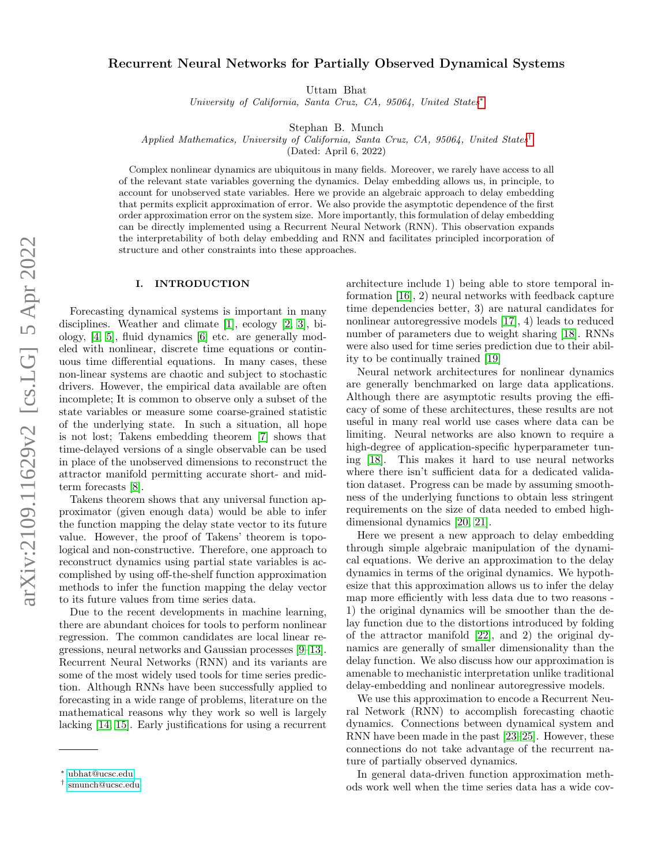# Recurrent Neural Networks for Partially Observed Dynamical Systems

Uttam Bhat

University of California, Santa Cruz, CA, 95064, United States[∗](#page-0-0)

Stephan B. Munch

Applied Mathematics, University of California, Santa Cruz, CA, 95064, United States[†](#page-0-1)

(Dated: April 6, 2022)

Complex nonlinear dynamics are ubiquitous in many fields. Moreover, we rarely have access to all of the relevant state variables governing the dynamics. Delay embedding allows us, in principle, to account for unobserved state variables. Here we provide an algebraic approach to delay embedding that permits explicit approximation of error. We also provide the asymptotic dependence of the first order approximation error on the system size. More importantly, this formulation of delay embedding can be directly implemented using a Recurrent Neural Network (RNN). This observation expands the interpretability of both delay embedding and RNN and facilitates principled incorporation of structure and other constraints into these approaches.

# I. INTRODUCTION

Forecasting dynamical systems is important in many disciplines. Weather and climate [\[1\]](#page-5-0), ecology [\[2,](#page-6-0) [3\]](#page-6-1), biology, [\[4,](#page-6-2) [5\]](#page-6-3), fluid dynamics [\[6\]](#page-6-4) etc. are generally modeled with nonlinear, discrete time equations or continuous time differential equations. In many cases, these non-linear systems are chaotic and subject to stochastic drivers. However, the empirical data available are often incomplete; It is common to observe only a subset of the state variables or measure some coarse-grained statistic of the underlying state. In such a situation, all hope is not lost; Takens embedding theorem [\[7\]](#page-6-5) shows that time-delayed versions of a single observable can be used in place of the unobserved dimensions to reconstruct the attractor manifold permitting accurate short- and midterm forecasts [\[8\]](#page-6-6).

Takens theorem shows that any universal function approximator (given enough data) would be able to infer the function mapping the delay state vector to its future value. However, the proof of Takens' theorem is topological and non-constructive. Therefore, one approach to reconstruct dynamics using partial state variables is accomplished by using off-the-shelf function approximation methods to infer the function mapping the delay vector to its future values from time series data.

Due to the recent developments in machine learning, there are abundant choices for tools to perform nonlinear regression. The common candidates are local linear regressions, neural networks and Gaussian processes [\[9–](#page-6-7)[13\]](#page-6-8). Recurrent Neural Networks (RNN) and its variants are some of the most widely used tools for time series prediction. Although RNNs have been successfully applied to forecasting in a wide range of problems, literature on the mathematical reasons why they work so well is largely lacking [\[14,](#page-6-9) [15\]](#page-6-10). Early justifications for using a recurrent

architecture include 1) being able to store temporal information [\[16\]](#page-6-11), 2) neural networks with feedback capture time dependencies better, 3) are natural candidates for nonlinear autoregressive models [\[17\]](#page-6-12), 4) leads to reduced number of parameters due to weight sharing [\[18\]](#page-6-13). RNNs were also used for time series prediction due to their ability to be continually trained [\[19\]](#page-6-14)

Neural network architectures for nonlinear dynamics are generally benchmarked on large data applications. Although there are asymptotic results proving the efficacy of some of these architectures, these results are not useful in many real world use cases where data can be limiting. Neural networks are also known to require a high-degree of application-specific hyperparameter tuning [\[18\]](#page-6-13). This makes it hard to use neural networks where there isn't sufficient data for a dedicated validation dataset. Progress can be made by assuming smoothness of the underlying functions to obtain less stringent requirements on the size of data needed to embed highdimensional dynamics [\[20,](#page-6-15) [21\]](#page-7-0).

Here we present a new approach to delay embedding through simple algebraic manipulation of the dynamical equations. We derive an approximation to the delay dynamics in terms of the original dynamics. We hypothesize that this approximation allows us to infer the delay map more efficiently with less data due to two reasons - 1) the original dynamics will be smoother than the delay function due to the distortions introduced by folding of the attractor manifold [\[22\]](#page-7-1), and 2) the original dynamics are generally of smaller dimensionality than the delay function. We also discuss how our approximation is amenable to mechanistic interpretation unlike traditional delay-embedding and nonlinear autoregressive models.

We use this approximation to encode a Recurrent Neural Network (RNN) to accomplish forecasting chaotic dynamics. Connections between dynamical system and RNN have been made in the past [\[23–](#page-7-2)[25\]](#page-7-3). However, these connections do not take advantage of the recurrent nature of partially observed dynamics.

In general data-driven function approximation methods work well when the time series data has a wide cov-

<span id="page-0-0"></span><sup>∗</sup> [ubhat@ucsc.edu](mailto:ubhat@ucsc.edu)

<span id="page-0-1"></span><sup>†</sup> [smunch@ucsc.edu](mailto:smunch@ucsc.edu)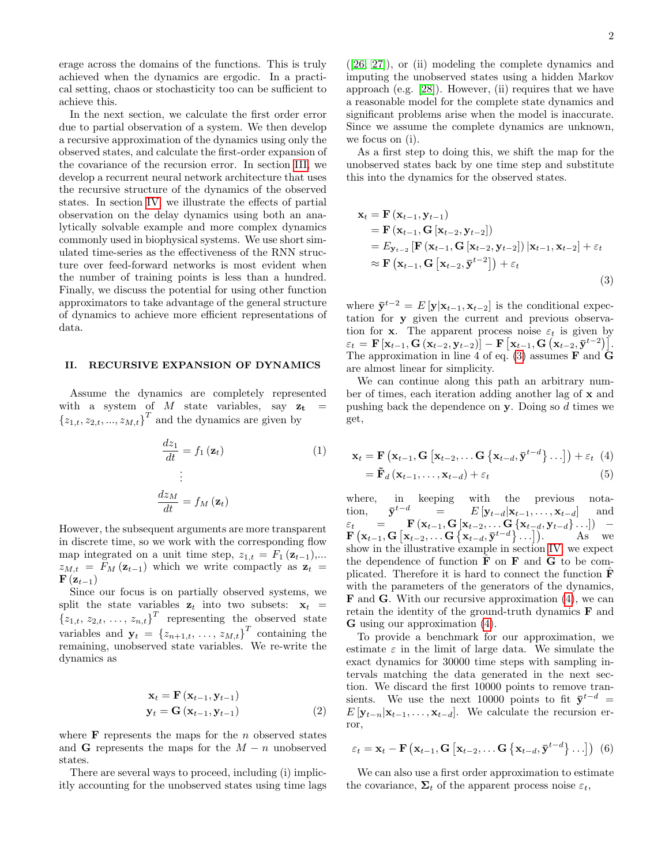erage across the domains of the functions. This is truly achieved when the dynamics are ergodic. In a practical setting, chaos or stochasticity too can be sufficient to achieve this.

In the next section, we calculate the first order error due to partial observation of a system. We then develop a recursive approximation of the dynamics using only the observed states, and calculate the first-order expansion of the covariance of the recursion error. In section [III,](#page-2-0) we develop a recurrent neural network architecture that uses the recursive structure of the dynamics of the observed states. In section [IV,](#page-2-1) we illustrate the effects of partial observation on the delay dynamics using both an analytically solvable example and more complex dynamics commonly used in biophysical systems. We use short simulated time-series as the effectiveness of the RNN structure over feed-forward networks is most evident when the number of training points is less than a hundred. Finally, we discuss the potential for using other function approximators to take advantage of the general structure of dynamics to achieve more efficient representations of data.

# II. RECURSIVE EXPANSION OF DYNAMICS

Assume the dynamics are completely represented with a system of M state variables, say  $z_t$  ${z_{1,t}, z_{2,t}, ..., z_{M,t}}^T$  and the dynamics are given by

$$
\frac{dz_1}{dt} = f_1(\mathbf{z}_t)
$$
\n
$$
\vdots
$$
\n
$$
\frac{dz_M}{dt} = f_M(\mathbf{z}_t)
$$
\n(1)

However, the subsequent arguments are more transparent in discrete time, so we work with the corresponding flow map integrated on a unit time step,  $z_{1,t} = F_1(\mathbf{z}_{t-1}),...$  $z_{M,t} = F_M(\mathbf{z}_{t-1})$  which we write compactly as  $\mathbf{z}_t =$  $\mathbf{F}(\mathbf{z}_{t-1})$ 

Since our focus is on partially observed systems, we split the state variables  $z_t$  into two subsets:  $x_t$  =  ${z_{1,t}, z_{2,t}, \ldots, z_{n,t}}^T$  representing the observed state variables and  $\mathbf{y}_t = \{z_{n+1,t}, \ldots, z_{M,t}\}^T$  containing the remaining, unobserved state variables. We re-write the dynamics as

$$
\mathbf{x}_{t} = \mathbf{F}(\mathbf{x}_{t-1}, \mathbf{y}_{t-1})
$$

$$
\mathbf{y}_{t} = \mathbf{G}(\mathbf{x}_{t-1}, \mathbf{y}_{t-1})
$$
(2)

where  $\bf{F}$  represents the maps for the *n* observed states and G represents the maps for the  $M - n$  unobserved states.

There are several ways to proceed, including (i) implicitly accounting for the unobserved states using time lags

([\[26,](#page-7-4) [27\]](#page-7-5)), or (ii) modeling the complete dynamics and imputing the unobserved states using a hidden Markov approach (e.g. [\[28\]](#page-7-6)). However, (ii) requires that we have a reasonable model for the complete state dynamics and significant problems arise when the model is inaccurate. Since we assume the complete dynamics are unknown, we focus on (i).

As a first step to doing this, we shift the map for the unobserved states back by one time step and substitute this into the dynamics for the observed states.

<span id="page-1-0"></span>
$$
\mathbf{x}_{t} = \mathbf{F}(\mathbf{x}_{t-1}, \mathbf{y}_{t-1})
$$
\n
$$
= \mathbf{F}(\mathbf{x}_{t-1}, \mathbf{G}[\mathbf{x}_{t-2}, \mathbf{y}_{t-2}])
$$
\n
$$
= E_{\mathbf{y}_{t-2}}[\mathbf{F}(\mathbf{x}_{t-1}, \mathbf{G}[\mathbf{x}_{t-2}, \mathbf{y}_{t-2}])|\mathbf{x}_{t-1}, \mathbf{x}_{t-2}] + \varepsilon_{t}
$$
\n
$$
\approx \mathbf{F}(\mathbf{x}_{t-1}, \mathbf{G}[\mathbf{x}_{t-2}, \bar{\mathbf{y}}^{t-2}]) + \varepsilon_{t}
$$
\n(3)

where  $\bar{\mathbf{y}}^{t-2} = E[\mathbf{y}|\mathbf{x}_{t-1}, \mathbf{x}_{t-2}]$  is the conditional expectation for y given the current and previous observation for **x**. The apparent process noise  $\varepsilon_t$  is given by  $\varepsilon_t = \textbf{F}\left[ \textbf{x}_{t-1}, \textbf{G}\left( \textbf{x}_{t-2}, \textbf{y}_{t-2} \right) \right] - \textbf{F}\left[ \textbf{x}_{t-1}, \textbf{G}\left( \textbf{x}_{t-2}, \bar{\textbf{y}}^{t-2} \right) \right].$ The approximation in line 4 of eq.  $(3)$  assumes **F** and  $\tilde{G}$ are almost linear for simplicity.

We can continue along this path an arbitrary number of times, each iteration adding another lag of x and pushing back the dependence on  $\bf{y}$ . Doing so d times we get,

$$
\mathbf{x}_{t} = \mathbf{F}\left(\mathbf{x}_{t-1}, \mathbf{G}\left[\mathbf{x}_{t-2}, \ldots \mathbf{G}\left\{\mathbf{x}_{t-d}, \bar{\mathbf{y}}^{t-d}\right\} \ldots\right]\right) + \varepsilon_{t} \tag{4}
$$

<span id="page-1-1"></span>
$$
= \tilde{\mathbf{F}}_d \left( \mathbf{x}_{t-1}, \dots, \mathbf{x}_{t-d} \right) + \varepsilon_t \tag{5}
$$

where, in keeping with the previous nota-<br>tion,  $\bar{y}^{t-d} = E[\mathbf{v}_{t-d}|\mathbf{x}_{t-1}, \dots, \mathbf{x}_{t-d}]$  and tion,  $= E[\mathbf{y}_{t-d}|\mathbf{x}_{t-1}, \dots, \mathbf{x}_{t-d}]$  and  $\varepsilon_t \quad \quad = \quad \quad {\bf F} \left( {\bf x}_{t-1}, {\bf G} \left[ {\bf x}_{t-2}, \ldots {\bf G} \left\{ {\bf x}_{t-d}, {\bf y}_{t-d} \right\} \ldots \right] \right) \quad - \quad \quad$  $\mathbf{F}\left(\mathbf{x}_{t-1},\mathbf{G}\left[\mathbf{x}_{t-2},\ldots\mathbf{G}\left\{\mathbf{x}_{t-d},\bar{\mathbf{y}}^{t-d}\right\}\ldots\right]\right).$  As we show in the illustrative example in section [IV,](#page-2-1) we expect the dependence of function  $\bf{F}$  on  $\bf{F}$  and  $\bf{G}$  to be complicated. Therefore it is hard to connect the function  $\bf{F}$ with the parameters of the generators of the dynamics,  **and**  $**G**$ **. With our recursive approximation [\(4\)](#page-1-1), we can** retain the identity of the ground-truth dynamics F and G using our approximation [\(4\)](#page-1-1).

To provide a benchmark for our approximation, we estimate  $\varepsilon$  in the limit of large data. We simulate the exact dynamics for 30000 time steps with sampling intervals matching the data generated in the next section. We discard the first 10000 points to remove transients. We use the next 10000 points to fit  $\bar{y}^{t-d}$  =  $E[\mathbf{y}_{t-n}|\mathbf{x}_{t-1},\ldots,\mathbf{x}_{t-d}]$ . We calculate the recursion error,

<span id="page-1-3"></span><span id="page-1-2"></span>
$$
\varepsilon_t = \mathbf{x}_t - \mathbf{F}\left(\mathbf{x}_{t-1}, \mathbf{G}\left[\mathbf{x}_{t-2}, \dots \mathbf{G}\left\{\mathbf{x}_{t-d}, \bar{\mathbf{y}}^{t-d}\right\} \dots\right]\right) (6)
$$

We can also use a first order approximation to estimate the covariance,  $\Sigma_t$  of the apparent process noise  $\varepsilon_t$ ,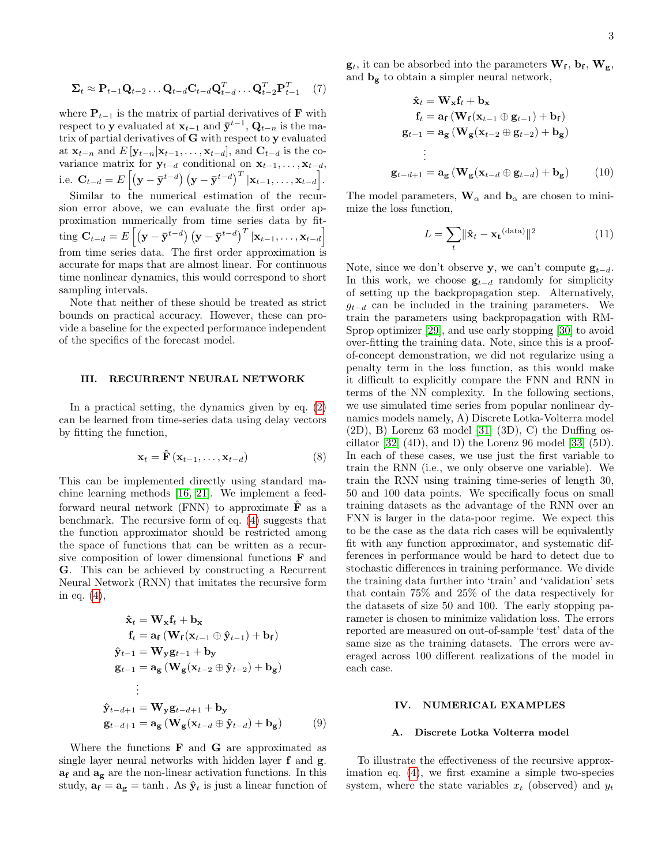<span id="page-2-2"></span>
$$
\Sigma_t \approx \mathbf{P}_{t-1}\mathbf{Q}_{t-2}\dots\mathbf{Q}_{t-d}\mathbf{C}_{t-d}\mathbf{Q}_{t-d}^T\dots\mathbf{Q}_{t-2}^T\mathbf{P}_{t-1}^T
$$
 (7)

where  $\mathbf{P}_{t-1}$  is the matrix of partial derivatives of **F** with respect to y evaluated at  $\mathbf{x}_{t-1}$  and  $\bar{\mathbf{y}}^{t-1}$ ,  $\mathbf{Q}_{t-n}$  is the matrix of partial derivatives of G with respect to y evaluated at  $\mathbf{x}_{t-n}$  and  $E[\mathbf{y}_{t-n}|\mathbf{x}_{t-1},\ldots,\mathbf{x}_{t-d}],$  and  $\mathbf{C}_{t-d}$  is the covariance matrix for  $y_{t-d}$  conditional on  $x_{t-1}, \ldots, x_{t-d}$ , i.e.  $\mathbf{C}_{t-d} = E\left[\left(\mathbf{y}-\bar{\mathbf{y}}^{t-d}\right)\left(\mathbf{y}-\bar{\mathbf{y}}^{t-d}\right)^T\big|\mathbf{x}_{t-1},\ldots,\mathbf{x}_{t-d}\right].$ 

Similar to the numerical estimation of the recursion error above, we can evaluate the first order approximation numerically from time series data by fitting  $\mathbf{C}_{t-d} = E\left[\left(\mathbf{y}-\bar{\mathbf{y}}^{t-d}\right)\left(\mathbf{y}-\bar{\mathbf{y}}^{t-d}\right)^T | \mathbf{x}_{t-1}, \dots, \mathbf{x}_{t-d}\right]$ from time series data. The first order approximation is accurate for maps that are almost linear. For continuous time nonlinear dynamics, this would correspond to short sampling intervals.

Note that neither of these should be treated as strict bounds on practical accuracy. However, these can provide a baseline for the expected performance independent of the specifics of the forecast model.

# <span id="page-2-0"></span>III. RECURRENT NEURAL NETWORK

In a practical setting, the dynamics given by eq. [\(2\)](#page-1-2) can be learned from time-series data using delay vectors by fitting the function,

$$
\mathbf{x}_{t} = \hat{\mathbf{F}}\left(\mathbf{x}_{t-1}, \dots, \mathbf{x}_{t-d}\right) \tag{8}
$$

This can be implemented directly using standard machine learning methods [\[16,](#page-6-11) [21\]](#page-7-0). We implement a feedforward neural network (FNN) to approximate  $\hat{F}$  as a benchmark. The recursive form of eq. [\(4\)](#page-1-1) suggests that the function approximator should be restricted among the space of functions that can be written as a recursive composition of lower dimensional functions F and G. This can be achieved by constructing a Recurrent Neural Network (RNN) that imitates the recursive form in eq.  $(4)$ ,

$$
\hat{\mathbf{x}}_t = \mathbf{W_x} \mathbf{f}_t + \mathbf{b_x}
$$
\n
$$
\mathbf{f}_t = \mathbf{a_f} \left( \mathbf{W_f} (\mathbf{x}_{t-1} \oplus \hat{\mathbf{y}}_{t-1}) + \mathbf{b_f} \right)
$$
\n
$$
\hat{\mathbf{y}}_{t-1} = \mathbf{W_y} \mathbf{g}_{t-1} + \mathbf{b_y}
$$
\n
$$
\mathbf{g}_{t-1} = \mathbf{a_g} \left( \mathbf{W_g} (\mathbf{x}_{t-2} \oplus \hat{\mathbf{y}}_{t-2}) + \mathbf{b_g} \right)
$$
\n
$$
\vdots
$$
\n
$$
\hat{\mathbf{y}}_{t-d+1} = \mathbf{W_y} \mathbf{g}_{t-d+1} + \mathbf{b_y}
$$
\n
$$
\mathbf{g}_{t-d+1} = \mathbf{a_g} \left( \mathbf{W_g} (\mathbf{x}_{t-d} \oplus \hat{\mathbf{y}}_{t-d}) + \mathbf{b_g} \right) \tag{9}
$$

Where the functions  $\bf{F}$  and  $\bf{G}$  are approximated as single layer neural networks with hidden layer f and g.  $a_f$  and  $a_g$  are the non-linear activation functions. In this study,  $\mathbf{a_f} = \mathbf{a_g} = \tanh$ . As  $\hat{\mathbf{y}}_t$  is just a linear function of

 $\mathbf{g}_t$ , it can be absorbed into the parameters  $\mathbf{W_f}$ ,  $\mathbf{b_f}$ ,  $\mathbf{W_g}$ , and  $\mathbf{b}_{g}$  to obtain a simpler neural network,

$$
\hat{\mathbf{x}}_t = \mathbf{W_x} \mathbf{f}_t + \mathbf{b_x}
$$
\n
$$
\mathbf{f}_t = \mathbf{a_f} \left( \mathbf{W_f} (\mathbf{x}_{t-1} \oplus \mathbf{g}_{t-1}) + \mathbf{b_f} \right)
$$
\n
$$
\mathbf{g}_{t-1} = \mathbf{a_g} \left( \mathbf{W_g} (\mathbf{x}_{t-2} \oplus \mathbf{g}_{t-2}) + \mathbf{b_g} \right)
$$
\n
$$
\vdots
$$
\n
$$
\mathbf{g}_{t-d+1} = \mathbf{a_g} \left( \mathbf{W_g} (\mathbf{x}_{t-d} \oplus \mathbf{g}_{t-d}) + \mathbf{b_g} \right) \tag{10}
$$

The model parameters,  $\mathbf{W}_{\alpha}$  and  $\mathbf{b}_{\alpha}$  are chosen to minimize the loss function,

<span id="page-2-3"></span>
$$
L = \sum_{t} ||\hat{\mathbf{x}}_{t} - \mathbf{x}_{t}^{(\text{data})}||^{2}
$$
 (11)

Note, since we don't observe y, we can't compute  $g_{t-d}$ . In this work, we choose  $\mathbf{g}_{t-d}$  randomly for simplicity of setting up the backpropagation step. Alternatively,  $g_{t-d}$  can be included in the training parameters. We train the parameters using backpropagation with RM-Sprop optimizer [\[29\]](#page-7-7), and use early stopping [\[30\]](#page-7-8) to avoid over-fitting the training data. Note, since this is a proofof-concept demonstration, we did not regularize using a penalty term in the loss function, as this would make it difficult to explicitly compare the FNN and RNN in terms of the NN complexity. In the following sections, we use simulated time series from popular nonlinear dynamics models namely, A) Discrete Lotka-Volterra model  $(2D)$ , B) Lorenz 63 model [\[31\]](#page-7-9)  $(3D)$ , C) the Duffing oscillator  $[32]$  (4D), and D) the Lorenz 96 model  $[33]$  (5D). In each of these cases, we use just the first variable to train the RNN (i.e., we only observe one variable). We train the RNN using training time-series of length 30, 50 and 100 data points. We specifically focus on small training datasets as the advantage of the RNN over an FNN is larger in the data-poor regime. We expect this to be the case as the data rich cases will be equivalently fit with any function approximator, and systematic differences in performance would be hard to detect due to stochastic differences in training performance. We divide the training data further into 'train' and 'validation' sets that contain 75% and 25% of the data respectively for the datasets of size 50 and 100. The early stopping parameter is chosen to minimize validation loss. The errors reported are measured on out-of-sample 'test' data of the same size as the training datasets. The errors were averaged across 100 different realizations of the model in each case.

# <span id="page-2-1"></span>IV. NUMERICAL EXAMPLES

#### A. Discrete Lotka Volterra model

To illustrate the effectiveness of the recursive approximation eq. [\(4\)](#page-1-1), we first examine a simple two-species system, where the state variables  $x_t$  (observed) and  $y_t$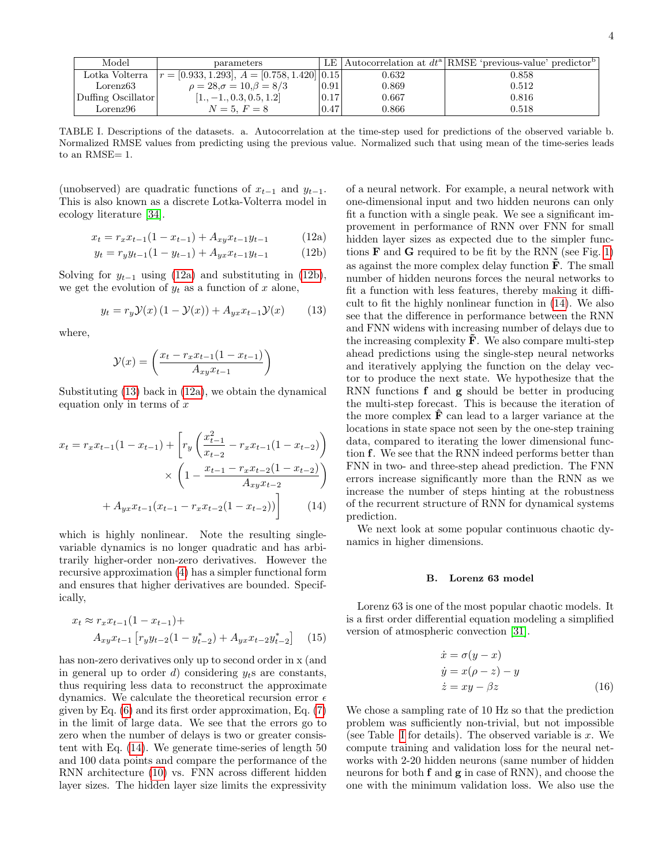| Model              | parameters                                      | LE   |       | Autocorrelation at $dt^a$ RMSE 'previous-value' predictor <sup>b</sup> |
|--------------------|-------------------------------------------------|------|-------|------------------------------------------------------------------------|
| Lotka Volterra     | $ r = [0.933, 1.293], A = [0.758, 1.420][0.15]$ |      | 0.632 | 0.858                                                                  |
| Lorenz63           | $\rho = 28, \sigma = 10, \beta = 8/3$           | 0.91 | 0.869 | 0.512                                                                  |
| Duffing Oscillator | $[1., -1., 0.3, 0.5, 1.2]$                      | 0.17 | 0.667 | 0.816                                                                  |
| $\rm Lorenz 96$    | $N = 5, F = 8$                                  | 0.47 | 0.866 | 0.518                                                                  |

<span id="page-3-4"></span>TABLE I. Descriptions of the datasets. a. Autocorrelation at the time-step used for predictions of the observed variable b. Normalized RMSE values from predicting using the previous value. Normalized such that using mean of the time-series leads to an RMSE= 1.

(unobserved) are quadratic functions of  $x_{t-1}$  and  $y_{t-1}$ . This is also known as a discrete Lotka-Volterra model in ecology literature [\[34\]](#page-7-12).

<span id="page-3-5"></span>
$$
x_t = r_x x_{t-1} (1 - x_{t-1}) + A_{xy} x_{t-1} y_{t-1}
$$
 (12a)

$$
y_t = r_y y_{t-1} (1 - y_{t-1}) + A_{yx} x_{t-1} y_{t-1}
$$
 (12b)

Solving for  $y_{t-1}$  using [\(12a\)](#page-3-0) and substituting in [\(12b\)](#page-3-1), we get the evolution of  $y_t$  as a function of x alone,

<span id="page-3-2"></span>
$$
y_t = r_y \mathcal{Y}(x) \left(1 - \mathcal{Y}(x)\right) + A_{yx} x_{t-1} \mathcal{Y}(x) \tag{13}
$$

where,

$$
\mathcal{Y}(x) = \left(\frac{x_t - r_x x_{t-1} (1 - x_{t-1})}{A_{xy} x_{t-1}}\right)
$$

Substituting [\(13\)](#page-3-2) back in [\(12a\)](#page-3-0), we obtain the dynamical equation only in terms of  $x$ 

$$
x_{t} = r_{x}x_{t-1}(1 - x_{t-1}) + \left[r_{y}\left(\frac{x_{t-1}^{2}}{x_{t-2}} - r_{x}x_{t-1}(1 - x_{t-2})\right) \times \left(1 - \frac{x_{t-1} - r_{x}x_{t-2}(1 - x_{t-2})}{A_{xy}x_{t-2}}\right)\right]
$$

$$
+ A_{yx}x_{t-1}(x_{t-1} - r_{x}x_{t-2}(1 - x_{t-2})) \qquad (14)
$$

which is highly nonlinear. Note the resulting singlevariable dynamics is no longer quadratic and has arbitrarily higher-order non-zero derivatives. However the recursive approximation [\(4\)](#page-1-1) has a simpler functional form and ensures that higher derivatives are bounded. Specifically,

$$
x_t \approx r_x x_{t-1} (1 - x_{t-1}) +
$$
  
\n
$$
A_{xy} x_{t-1} [r_y y_{t-2} (1 - y_{t-2}^*) + A_{yx} x_{t-2} y_{t-2}^*]
$$
 (15)

has non-zero derivatives only up to second order in x (and in general up to order d) considering  $y_t$ s are constants, thus requiring less data to reconstruct the approximate dynamics. We calculate the theoretical recursion error  $\epsilon$ given by Eq.  $(6)$  and its first order approximation, Eq.  $(7)$ in the limit of large data. We see that the errors go to zero when the number of delays is two or greater consistent with Eq. [\(14\)](#page-3-3). We generate time-series of length 50 and 100 data points and compare the performance of the RNN architecture [\(10\)](#page-2-3) vs. FNN across different hidden layer sizes. The hidden layer size limits the expressivity

<span id="page-3-1"></span><span id="page-3-0"></span>of a neural network. For example, a neural network with one-dimensional input and two hidden neurons can only fit a function with a single peak. We see a significant improvement in performance of RNN over FNN for small hidden layer sizes as expected due to the simpler functions  $\bf{F}$  and  $\bf{G}$  required to be fit by the RNN (see Fig. [1\)](#page-4-0) as against the more complex delay function  $\tilde{\mathbf{F}}$ . The small number of hidden neurons forces the neural networks to fit a function with less features, thereby making it difficult to fit the highly nonlinear function in [\(14\)](#page-3-3). We also see that the difference in performance between the RNN and FNN widens with increasing number of delays due to the increasing complexity  $\tilde{F}$ . We also compare multi-step ahead predictions using the single-step neural networks and iteratively applying the function on the delay vector to produce the next state. We hypothesize that the RNN functions f and g should be better in producing the multi-step forecast. This is because the iteration of the more complex  $\ddot{F}$  can lead to a larger variance at the locations in state space not seen by the one-step training data, compared to iterating the lower dimensional function f. We see that the RNN indeed performs better than FNN in two- and three-step ahead prediction. The FNN errors increase significantly more than the RNN as we increase the number of steps hinting at the robustness of the recurrent structure of RNN for dynamical systems prediction.

<span id="page-3-3"></span>We next look at some popular continuous chaotic dynamics in higher dimensions.

#### B. Lorenz 63 model

Lorenz 63 is one of the most popular chaotic models. It is a first order differential equation modeling a simplified version of atmospheric convection [\[31\]](#page-7-9).

<span id="page-3-6"></span>
$$
\begin{aligned}\n\dot{x} &= \sigma(y - x) \\
\dot{y} &= x(\rho - z) - y \\
\dot{z} &= xy - \beta z\n\end{aligned}
$$
\n(16)

We chose a sampling rate of 10 Hz so that the prediction problem was sufficiently non-trivial, but not impossible (see Table [I](#page-3-4) for details). The observed variable is  $x$ . We compute training and validation loss for the neural networks with 2-20 hidden neurons (same number of hidden neurons for both  $f$  and  $g$  in case of RNN), and choose the one with the minimum validation loss. We also use the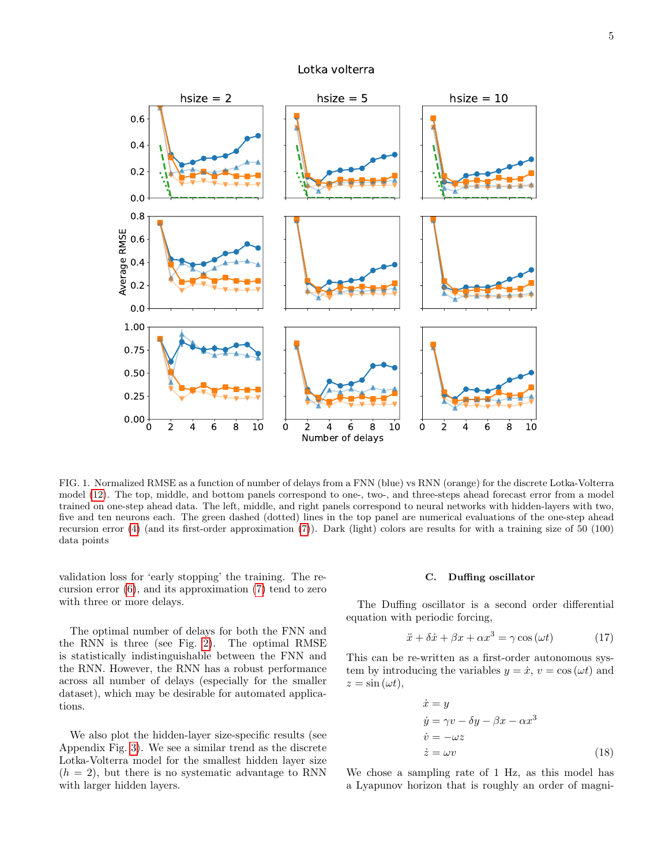

<span id="page-4-0"></span>FIG. 1. Normalized RMSE as a function of number of delays from a FNN (blue) vs RNN (orange) for the discrete Lotka-Volterra model [\(12\)](#page-3-5). The top, middle, and bottom panels correspond to one-, two-, and three-steps ahead forecast error from a model trained on one-step ahead data. The left, middle, and right panels correspond to neural networks with hidden-layers with two, five and ten neurons each. The green dashed (dotted) lines in the top panel are numerical evaluations of the one-step ahead recursion error [\(4\)](#page-1-1) (and its first-order approximation [\(7\)](#page-2-2)). Dark (light) colors are results for with a training size of 50 (100) data points

validation loss for 'early stopping' the training. The recursion error [\(6\)](#page-1-3), and its approximation [\(7\)](#page-2-2) tend to zero with three or more delays.

The optimal number of delays for both the FNN and the RNN is three (see Fig. [2\)](#page-6-16). The optimal RMSE is statistically indistinguishable between the FNN and the RNN. However, the RNN has a robust performance across all number of delays (especially for the smaller dataset), which may be desirable for automated applications.

We also plot the hidden-layer size-specific results (see Appendix Fig. [3\)](#page-8-0). We see a similar trend as the discrete Lotka-Volterra model for the smallest hidden layer size  $(h = 2)$ , but there is no systematic advantage to RNN with larger hidden layers.

### C. Duffing oscillator

The Duffing oscillator is a second order differential equation with periodic forcing,

$$
\ddot{x} + \delta \dot{x} + \beta x + \alpha x^3 = \gamma \cos(\omega t) \tag{17}
$$

This can be re-written as a first-order autonomous system by introducing the variables  $y = \dot{x}$ ,  $v = \cos(\omega t)$  and  $z = \sin(\omega t),$ 

<span id="page-4-1"></span>
$$
\begin{aligned}\n\dot{x} &= y\\ \n\dot{y} &= \gamma v - \delta y - \beta x - \alpha x^3\\ \n\dot{v} &= -\omega z\\ \n\dot{z} &= \omega v\n\end{aligned} \tag{18}
$$

We chose a sampling rate of 1 Hz, as this model has a Lyapunov horizon that is roughly an order of magni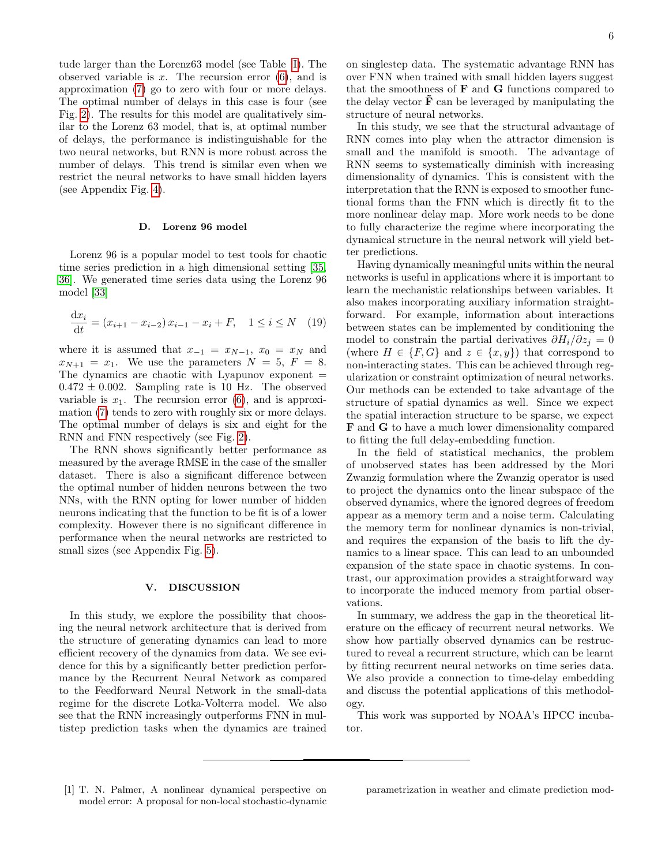tude larger than the Lorenz63 model (see Table [I\)](#page-3-4). The observed variable is  $x$ . The recursion error  $(6)$ , and is approximation [\(7\)](#page-2-2) go to zero with four or more delays. The optimal number of delays in this case is four (see Fig. [2\)](#page-6-16). The results for this model are qualitatively similar to the Lorenz 63 model, that is, at optimal number of delays, the performance is indistinguishable for the two neural networks, but RNN is more robust across the number of delays. This trend is similar even when we restrict the neural networks to have small hidden layers (see Appendix Fig. [4\)](#page-9-0).

### D. Lorenz 96 model

Lorenz 96 is a popular model to test tools for chaotic time series prediction in a high dimensional setting [\[35,](#page-7-13) [36\]](#page-7-14). We generated time series data using the Lorenz 96 model [\[33\]](#page-7-11)

$$
\frac{dx_i}{dt} = (x_{i+1} - x_{i-2})x_{i-1} - x_i + F, \quad 1 \le i \le N \quad (19)
$$

where it is assumed that  $x_{-1} = x_{N-1}$ ,  $x_0 = x_N$  and  $x_{N+1} = x_1$ . We use the parameters  $N = 5$ ,  $F = 8$ . The dynamics are chaotic with Lyapunov exponent  $=$  $0.472 \pm 0.002$ . Sampling rate is 10 Hz. The observed variable is  $x_1$ . The recursion error [\(6\)](#page-1-3), and is approximation [\(7\)](#page-2-2) tends to zero with roughly six or more delays. The optimal number of delays is six and eight for the RNN and FNN respectively (see Fig. [2\)](#page-6-16).

The RNN shows significantly better performance as measured by the average RMSE in the case of the smaller dataset. There is also a significant difference between the optimal number of hidden neurons between the two NNs, with the RNN opting for lower number of hidden neurons indicating that the function to be fit is of a lower complexity. However there is no significant difference in performance when the neural networks are restricted to small sizes (see Appendix Fig. [5\)](#page-10-0).

### V. DISCUSSION

In this study, we explore the possibility that choosing the neural network architecture that is derived from the structure of generating dynamics can lead to more efficient recovery of the dynamics from data. We see evidence for this by a significantly better prediction performance by the Recurrent Neural Network as compared to the Feedforward Neural Network in the small-data regime for the discrete Lotka-Volterra model. We also see that the RNN increasingly outperforms FNN in multistep prediction tasks when the dynamics are trained on singlestep data. The systematic advantage RNN has over FNN when trained with small hidden layers suggest that the smoothness of  $\bf{F}$  and  $\bf{G}$  functions compared to the delay vector  $\tilde{\mathbf{F}}$  can be leveraged by manipulating the structure of neural networks.

In this study, we see that the structural advantage of RNN comes into play when the attractor dimension is small and the manifold is smooth. The advantage of RNN seems to systematically diminish with increasing dimensionality of dynamics. This is consistent with the interpretation that the RNN is exposed to smoother functional forms than the FNN which is directly fit to the more nonlinear delay map. More work needs to be done to fully characterize the regime where incorporating the dynamical structure in the neural network will yield better predictions.

<span id="page-5-1"></span>Having dynamically meaningful units within the neural networks is useful in applications where it is important to learn the mechanistic relationships between variables. It also makes incorporating auxiliary information straightforward. For example, information about interactions between states can be implemented by conditioning the model to constrain the partial derivatives  $\partial H_i/\partial z_i = 0$ (where  $H \in \{F, G\}$  and  $z \in \{x, y\}$ ) that correspond to non-interacting states. This can be achieved through regularization or constraint optimization of neural networks. Our methods can be extended to take advantage of the structure of spatial dynamics as well. Since we expect the spatial interaction structure to be sparse, we expect F and G to have a much lower dimensionality compared to fitting the full delay-embedding function.

In the field of statistical mechanics, the problem of unobserved states has been addressed by the Mori Zwanzig formulation where the Zwanzig operator is used to project the dynamics onto the linear subspace of the observed dynamics, where the ignored degrees of freedom appear as a memory term and a noise term. Calculating the memory term for nonlinear dynamics is non-trivial, and requires the expansion of the basis to lift the dynamics to a linear space. This can lead to an unbounded expansion of the state space in chaotic systems. In contrast, our approximation provides a straightforward way to incorporate the induced memory from partial observations.

In summary, we address the gap in the theoretical literature on the efficacy of recurrent neural networks. We show how partially observed dynamics can be restructured to reveal a recurrent structure, which can be learnt by fitting recurrent neural networks on time series data. We also provide a connection to time-delay embedding and discuss the potential applications of this methodology.

This work was supported by NOAA's HPCC incubator.

<span id="page-5-0"></span>[1] T. N. Palmer, A nonlinear dynamical perspective on model error: A proposal for non-local stochastic-dynamic parametrization in weather and climate prediction mod-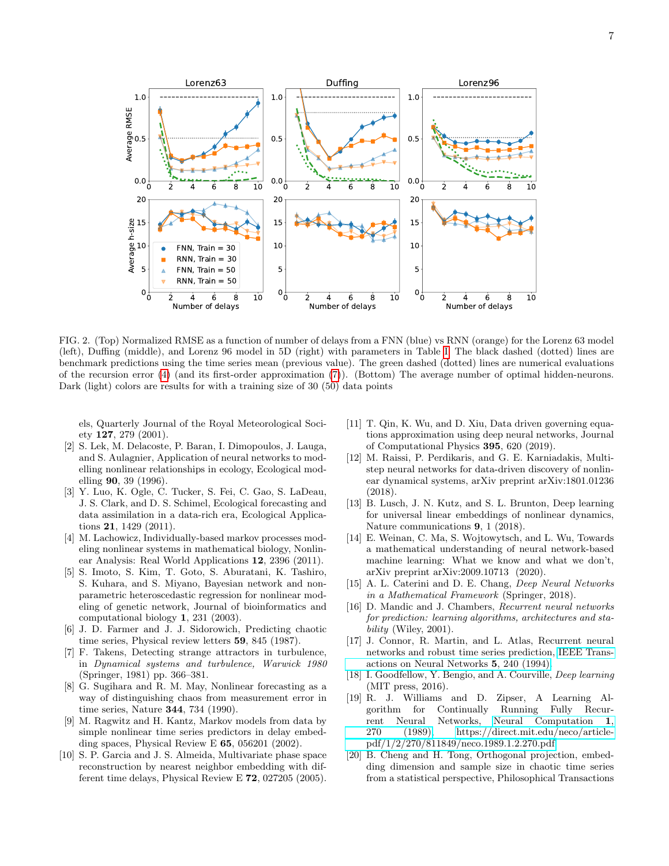

<span id="page-6-16"></span>FIG. 2. (Top) Normalized RMSE as a function of number of delays from a FNN (blue) vs RNN (orange) for the Lorenz 63 model (left), Duffing (middle), and Lorenz 96 model in 5D (right) with parameters in Table [I.](#page-3-4) The black dashed (dotted) lines are benchmark predictions using the time series mean (previous value). The green dashed (dotted) lines are numerical evaluations of the recursion error [\(4\)](#page-1-1) (and its first-order approximation [\(7\)](#page-2-2)). (Bottom) The average number of optimal hidden-neurons. Dark (light) colors are results for with a training size of 30 (50) data points

els, Quarterly Journal of the Royal Meteorological Society 127, 279 (2001).

- <span id="page-6-0"></span>[2] S. Lek, M. Delacoste, P. Baran, I. Dimopoulos, J. Lauga, and S. Aulagnier, Application of neural networks to modelling nonlinear relationships in ecology, Ecological modelling 90, 39 (1996).
- <span id="page-6-1"></span>[3] Y. Luo, K. Ogle, C. Tucker, S. Fei, C. Gao, S. LaDeau, J. S. Clark, and D. S. Schimel, Ecological forecasting and data assimilation in a data-rich era, Ecological Applications 21, 1429 (2011).
- <span id="page-6-2"></span>[4] M. Lachowicz, Individually-based markov processes modeling nonlinear systems in mathematical biology, Nonlinear Analysis: Real World Applications 12, 2396 (2011).
- <span id="page-6-3"></span>[5] S. Imoto, S. Kim, T. Goto, S. Aburatani, K. Tashiro, S. Kuhara, and S. Miyano, Bayesian network and nonparametric heteroscedastic regression for nonlinear modeling of genetic network, Journal of bioinformatics and computational biology 1, 231 (2003).
- <span id="page-6-4"></span>[6] J. D. Farmer and J. J. Sidorowich, Predicting chaotic time series, Physical review letters 59, 845 (1987).
- <span id="page-6-5"></span>[7] F. Takens, Detecting strange attractors in turbulence, in Dynamical systems and turbulence, Warwick 1980 (Springer, 1981) pp. 366–381.
- <span id="page-6-6"></span>[8] G. Sugihara and R. M. May, Nonlinear forecasting as a way of distinguishing chaos from measurement error in time series, Nature 344, 734 (1990).
- <span id="page-6-7"></span>[9] M. Ragwitz and H. Kantz, Markov models from data by simple nonlinear time series predictors in delay embedding spaces, Physical Review E 65, 056201 (2002).
- [10] S. P. Garcia and J. S. Almeida, Multivariate phase space reconstruction by nearest neighbor embedding with different time delays, Physical Review E  $72$ , 027205 (2005).
- [11] T. Qin, K. Wu, and D. Xiu, Data driven governing equations approximation using deep neural networks, Journal of Computational Physics 395, 620 (2019).
- [12] M. Raissi, P. Perdikaris, and G. E. Karniadakis, Multistep neural networks for data-driven discovery of nonlinear dynamical systems, arXiv preprint arXiv:1801.01236 (2018).
- <span id="page-6-8"></span>[13] B. Lusch, J. N. Kutz, and S. L. Brunton, Deep learning for universal linear embeddings of nonlinear dynamics, Nature communications 9, 1 (2018).
- <span id="page-6-9"></span>[14] E. Weinan, C. Ma, S. Wojtowytsch, and L. Wu, Towards a mathematical understanding of neural network-based machine learning: What we know and what we don't, arXiv preprint arXiv:2009.10713 (2020).
- <span id="page-6-10"></span>[15] A. L. Caterini and D. E. Chang, *Deep Neural Networks* in a Mathematical Framework (Springer, 2018).
- <span id="page-6-11"></span>[16] D. Mandic and J. Chambers, Recurrent neural networks for prediction: learning algorithms, architectures and stability (Wiley, 2001).
- <span id="page-6-12"></span>[17] J. Connor, R. Martin, and L. Atlas, Recurrent neural networks and robust time series prediction, [IEEE Trans](https://doi.org/10.1109/72.279188)[actions on Neural Networks](https://doi.org/10.1109/72.279188) 5, 240 (1994).
- <span id="page-6-13"></span>[18] I. Goodfellow, Y. Bengio, and A. Courville, *Deep learning* (MIT press, 2016).
- <span id="page-6-14"></span>[19] R. J. Williams and D. Zipser, A Learning Algorithm for Continually Running Fully Recurrent Neural Networks, [Neural Computation](https://doi.org/10.1162/neco.1989.1.2.270) 1, [270 \(1989\),](https://doi.org/10.1162/neco.1989.1.2.270) [https://direct.mit.edu/neco/article](https://arxiv.org/abs/https://direct.mit.edu/neco/article-pdf/1/2/270/811849/neco.1989.1.2.270.pdf)[pdf/1/2/270/811849/neco.1989.1.2.270.pdf.](https://arxiv.org/abs/https://direct.mit.edu/neco/article-pdf/1/2/270/811849/neco.1989.1.2.270.pdf)
- <span id="page-6-15"></span>[20] B. Cheng and H. Tong, Orthogonal projection, embedding dimension and sample size in chaotic time series from a statistical perspective, Philosophical Transactions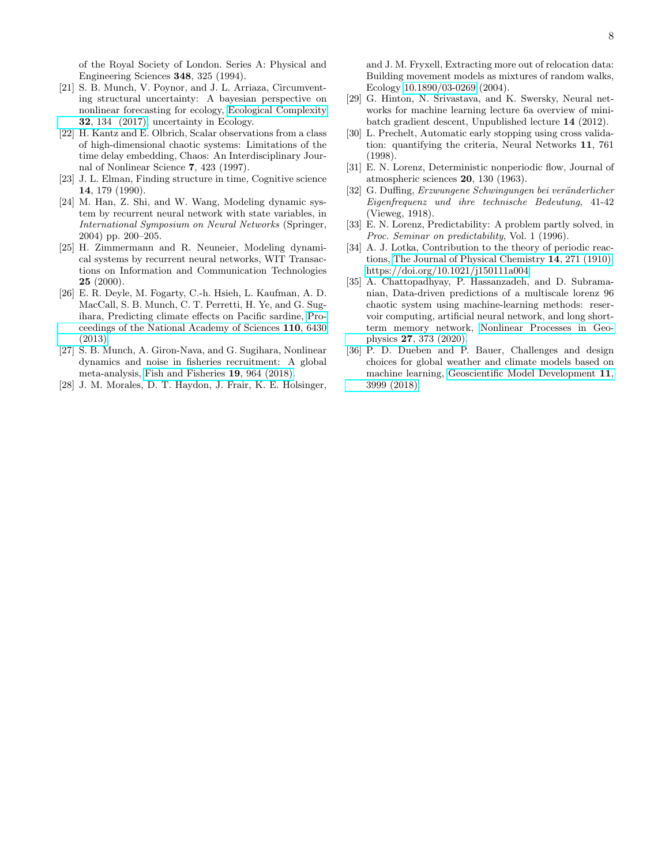of the Royal Society of London. Series A: Physical and Engineering Sciences 348, 325 (1994).

- <span id="page-7-0"></span>[21] S. B. Munch, V. Poynor, and J. L. Arriaza, Circumventing structural uncertainty: A bayesian perspective on nonlinear forecasting for ecology, [Ecological Complexity](https://doi.org/https://doi.org/10.1016/j.ecocom.2016.08.006) 32[, 134 \(2017\),](https://doi.org/https://doi.org/10.1016/j.ecocom.2016.08.006) uncertainty in Ecology.
- <span id="page-7-1"></span>[22] H. Kantz and E. Olbrich, Scalar observations from a class of high-dimensional chaotic systems: Limitations of the time delay embedding, Chaos: An Interdisciplinary Journal of Nonlinear Science 7, 423 (1997).
- <span id="page-7-2"></span>[23] J. L. Elman, Finding structure in time, Cognitive science 14, 179 (1990).
- [24] M. Han, Z. Shi, and W. Wang, Modeling dynamic system by recurrent neural network with state variables, in International Symposium on Neural Networks (Springer, 2004) pp. 200–205.
- <span id="page-7-3"></span>[25] H. Zimmermann and R. Neuneier, Modeling dynamical systems by recurrent neural networks, WIT Transactions on Information and Communication Technologies 25 (2000).
- <span id="page-7-4"></span>[26] E. R. Deyle, M. Fogarty, C.-h. Hsieh, L. Kaufman, A. D. MacCall, S. B. Munch, C. T. Perretti, H. Ye, and G. Sugihara, Predicting climate effects on Pacific sardine, [Pro](https://doi.org/10.1073/pnas.1215506110)[ceedings of the National Academy of Sciences](https://doi.org/10.1073/pnas.1215506110) 110, 6430 [\(2013\).](https://doi.org/10.1073/pnas.1215506110)
- <span id="page-7-5"></span>[27] S. B. Munch, A. Giron-Nava, and G. Sugihara, Nonlinear dynamics and noise in fisheries recruitment: A global meta-analysis, [Fish and Fisheries](https://doi.org/10.1111/faf.12304) 19, 964 (2018).
- <span id="page-7-6"></span>[28] J. M. Morales, D. T. Haydon, J. Frair, K. E. Holsinger,

and J. M. Fryxell, Extracting more out of relocation data: Building movement models as mixtures of random walks, Ecology [10.1890/03-0269](https://doi.org/10.1890/03-0269) (2004).

- <span id="page-7-7"></span>[29] G. Hinton, N. Srivastava, and K. Swersky, Neural networks for machine learning lecture 6a overview of minibatch gradient descent, Unpublished lecture 14 (2012).
- <span id="page-7-8"></span>[30] L. Prechelt, Automatic early stopping using cross validation: quantifying the criteria, Neural Networks 11, 761 (1998).
- <span id="page-7-9"></span>[31] E. N. Lorenz, Deterministic nonperiodic flow, Journal of atmospheric sciences 20, 130 (1963).
- <span id="page-7-10"></span>[32] G. Duffing, Erzwungene Schwingungen bei veränderlicher Eigenfrequenz und ihre technische Bedeutung, 41-42 (Vieweg, 1918).
- <span id="page-7-11"></span>[33] E. N. Lorenz, Predictability: A problem partly solved, in Proc. Seminar on predictability, Vol. 1 (1996).
- <span id="page-7-12"></span>[34] A. J. Lotka, Contribution to the theory of periodic reactions, [The Journal of Physical Chemistry](https://doi.org/10.1021/j150111a004) 14, 271 (1910), [https://doi.org/10.1021/j150111a004.](https://arxiv.org/abs/https://doi.org/10.1021/j150111a004)
- <span id="page-7-13"></span>[35] A. Chattopadhyay, P. Hassanzadeh, and D. Subramanian, Data-driven predictions of a multiscale lorenz 96 chaotic system using machine-learning methods: reservoir computing, artificial neural network, and long shortterm memory network, [Nonlinear Processes in Geo](https://doi.org/10.5194/npg-27-373-2020)physics 27[, 373 \(2020\).](https://doi.org/10.5194/npg-27-373-2020)
- <span id="page-7-14"></span>[36] P. D. Dueben and P. Bauer, Challenges and design choices for global weather and climate models based on machine learning, [Geoscientific Model Development](https://doi.org/10.5194/gmd-11-3999-2018) 11, [3999 \(2018\).](https://doi.org/10.5194/gmd-11-3999-2018)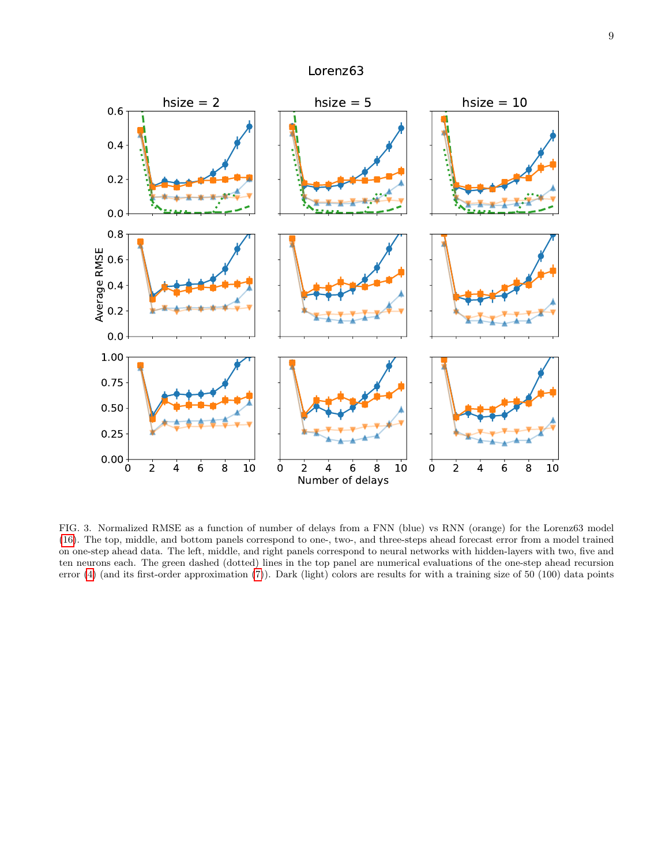# Lorenz63



<span id="page-8-0"></span>FIG. 3. Normalized RMSE as a function of number of delays from a FNN (blue) vs RNN (orange) for the Lorenz63 model [\(16\)](#page-3-6). The top, middle, and bottom panels correspond to one-, two-, and three-steps ahead forecast error from a model trained on one-step ahead data. The left, middle, and right panels correspond to neural networks with hidden-layers with two, five and ten neurons each. The green dashed (dotted) lines in the top panel are numerical evaluations of the one-step ahead recursion error [\(4\)](#page-1-1) (and its first-order approximation [\(7\)](#page-2-2)). Dark (light) colors are results for with a training size of 50 (100) data points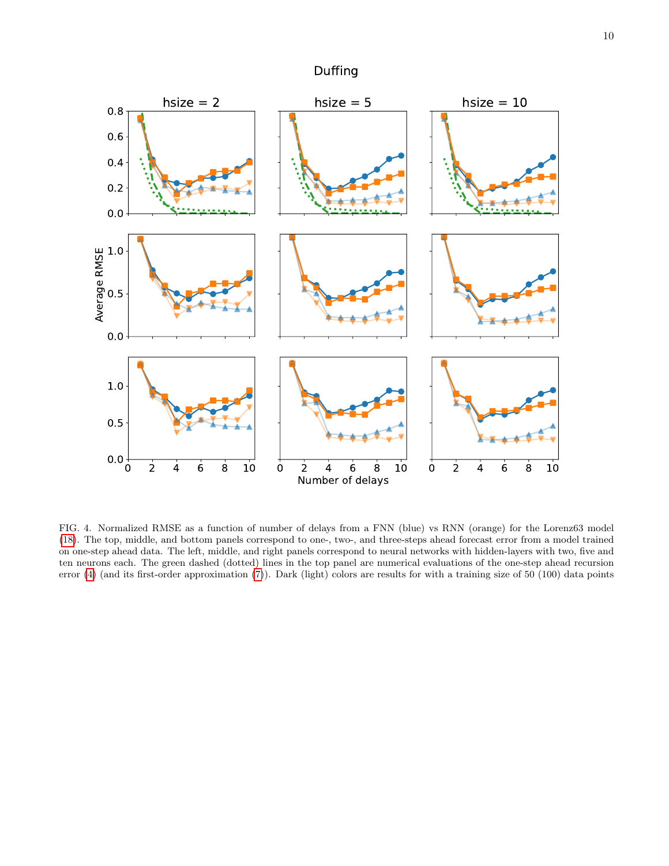# Duffing



<span id="page-9-0"></span>FIG. 4. Normalized RMSE as a function of number of delays from a FNN (blue) vs RNN (orange) for the Lorenz63 model [\(18\)](#page-4-1). The top, middle, and bottom panels correspond to one-, two-, and three-steps ahead forecast error from a model trained on one-step ahead data. The left, middle, and right panels correspond to neural networks with hidden-layers with two, five and ten neurons each. The green dashed (dotted) lines in the top panel are numerical evaluations of the one-step ahead recursion error [\(4\)](#page-1-1) (and its first-order approximation [\(7\)](#page-2-2)). Dark (light) colors are results for with a training size of 50 (100) data points